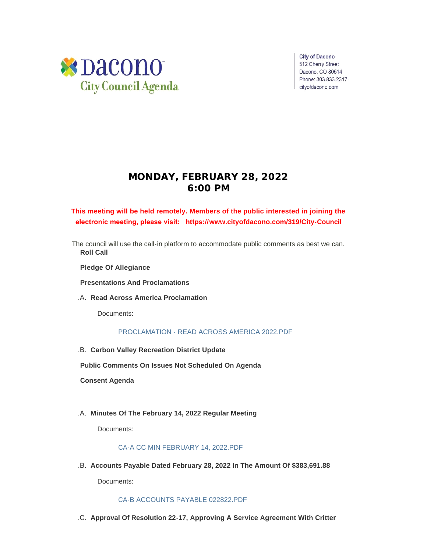

**City of Dacono** 512 Cherry Street Dacono, CO 80514 Phone: 303.833.2317 cityofdacono.com

# **MONDAY, FEBRUARY 28, 2022 6:00 PM**

# **This meeting will be held remotely. Members of the public interested in joining the electronic meeting, please visit: https://[www.cityofdacono.com/319/City-Council](http://www.cityofdacono.com/319/City-Council)**

The council will use the call-in platform to accommodate public comments as best we can. **Roll Call**

**Pledge Of Allegiance** 

**Presentations And Proclamations**

**Read Across America Proclamation** .A.

Documents:

# PROCLAMATION - READ ACROSS AMERICA 2022 PDF

**Carbon Valley Recreation District Update** .B.

**Public Comments On Issues Not Scheduled On Agenda**

**Consent Agenda**

**Minutes Of The February 14, 2022 Regular Meeting** .A.

Documents:

# [CA-A CC MIN FEBRUARY 14, 2022.PDF](https://www.cityofdacono.com/AgendaCenter/ViewFile/Item/1981?fileID=2695)

**Accounts Payable Dated February 28, 2022 In The Amount Of \$383,691.88** .B.

Documents:

# [CA-B ACCOUNTS PAYABLE 022822.PDF](https://www.cityofdacono.com/AgendaCenter/ViewFile/Item/1982?fileID=2696)

**Approval Of Resolution 22-17, Approving A Service Agreement With Critter**  .C.